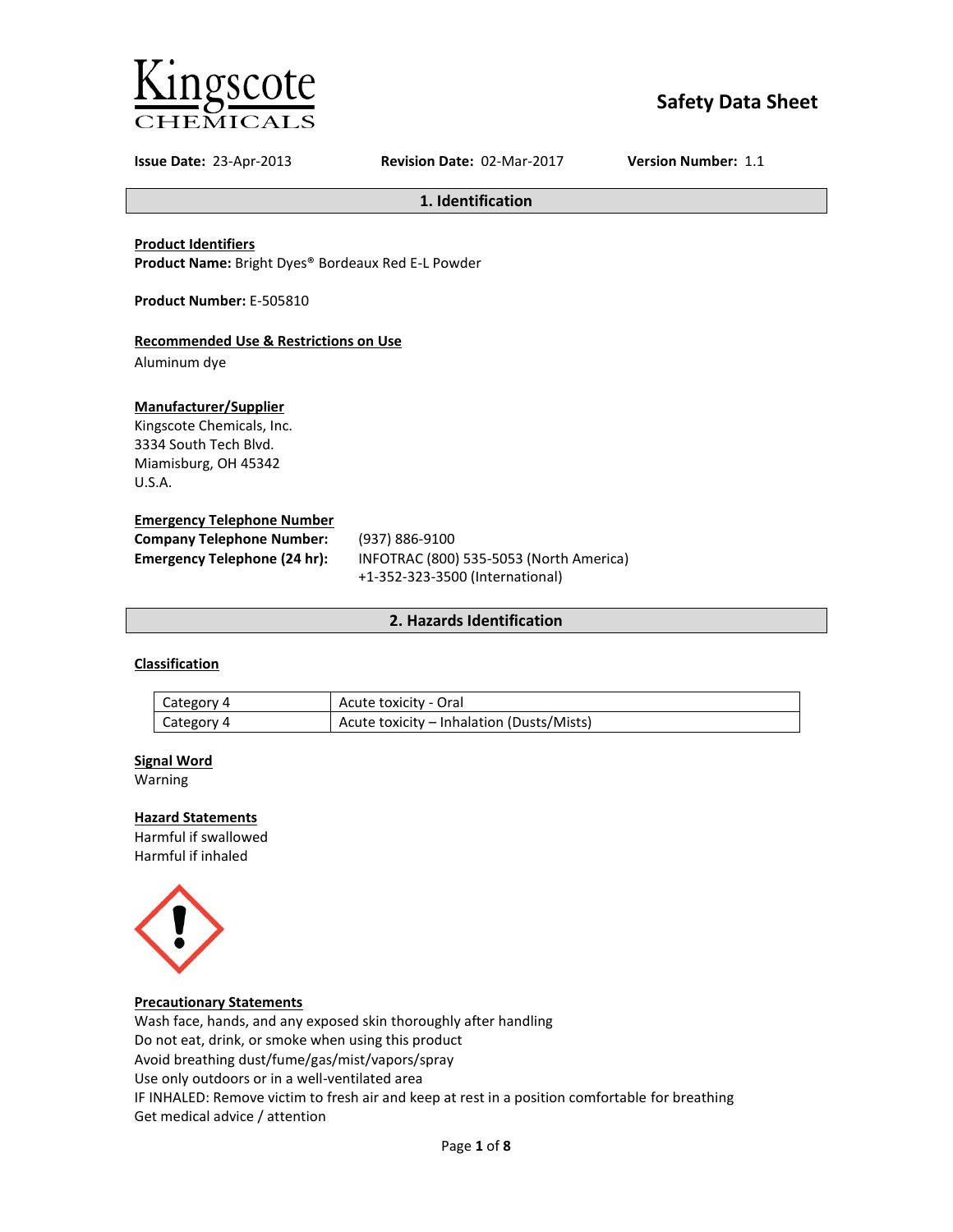

# **Safety Data Sheet**

**Issue Date:** 23-Apr-2013 **Revision Date:** 02-Mar-2017 **Version Number:** 1.1

**1. Identification**

**Product Identifiers**

**Product Name:** Bright Dyes® Bordeaux Red E-L Powder

**Product Number:** E-505810

### **Recommended Use & Restrictions on Use**

Aluminum dye

### **Manufacturer/Supplier**

Kingscote Chemicals, Inc. 3334 South Tech Blvd. Miamisburg, OH 45342 U.S.A.

#### **Emergency Telephone Number**

| <b>Company Telephone Number:</b> | (937) 886-9100                          |
|----------------------------------|-----------------------------------------|
| Emergency Telephone (24 hr):     | INFOTRAC (800) 535-5053 (North America) |
|                                  | +1-352-323-3500 (International)         |

### **2. Hazards Identification**

### **Classification**

| Category 4 | Acute toxicity - Oral                     |
|------------|-------------------------------------------|
| Category 4 | Acute toxicity - Inhalation (Dusts/Mists) |

#### **Signal Word**

Warning

#### **Hazard Statements**

Harmful if swallowed Harmful if inhaled



#### **Precautionary Statements**

Wash face, hands, and any exposed skin thoroughly after handling Do not eat, drink, or smoke when using this product Avoid breathing dust/fume/gas/mist/vapors/spray Use only outdoors or in a well-ventilated area IF INHALED: Remove victim to fresh air and keep at rest in a position comfortable for breathing Get medical advice / attention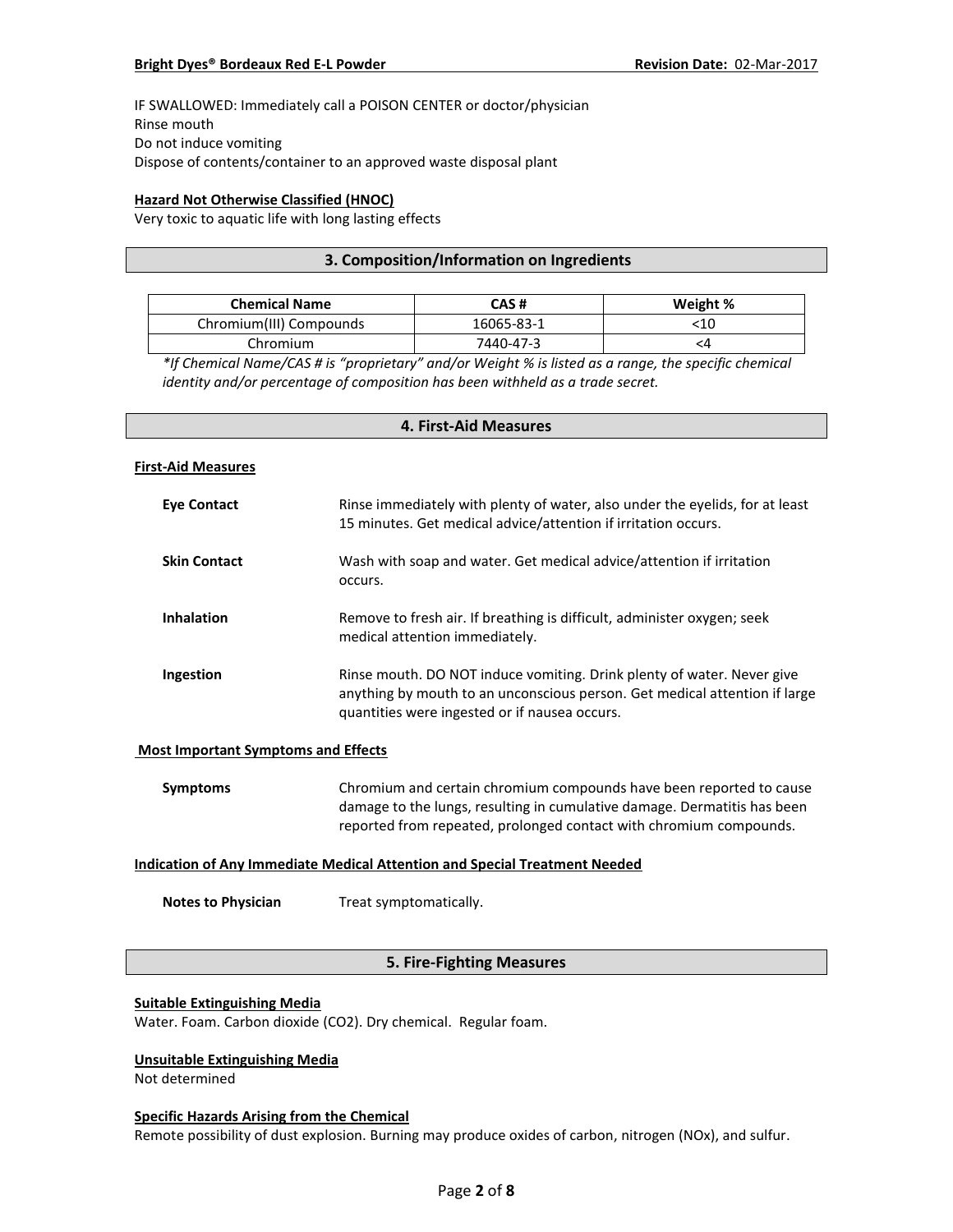IF SWALLOWED: Immediately call a POISON CENTER or doctor/physician Rinse mouth Do not induce vomiting Dispose of contents/container to an approved waste disposal plant

### **Hazard Not Otherwise Classified (HNOC)**

Very toxic to aquatic life with long lasting effects

### **3. Composition/Information on Ingredients**

| <b>Chemical Name</b>    | CAS #      | Weight % |
|-------------------------|------------|----------|
| Chromium(III) Compounds | 16065-83-1 |          |
| Chromium                | 7440-47-3  |          |

*\*If Chemical Name/CAS # is "proprietary" and/or Weight % is listed as a range, the specific chemical identity and/or percentage of composition has been withheld as a trade secret.*

#### **4. First-Aid Measures**

#### **First-Aid Measures**

| <b>Eve Contact</b>  | Rinse immediately with plenty of water, also under the eyelids, for at least<br>15 minutes. Get medical advice/attention if irritation occurs.                                                        |
|---------------------|-------------------------------------------------------------------------------------------------------------------------------------------------------------------------------------------------------|
| <b>Skin Contact</b> | Wash with soap and water. Get medical advice/attention if irritation<br>occurs.                                                                                                                       |
| <b>Inhalation</b>   | Remove to fresh air. If breathing is difficult, administer oxygen; seek<br>medical attention immediately.                                                                                             |
| Ingestion           | Rinse mouth. DO NOT induce vomiting. Drink plenty of water. Never give<br>anything by mouth to an unconscious person. Get medical attention if large<br>quantities were ingested or if nausea occurs. |

#### **Most Important Symptoms and Effects**

| Symptoms | Chromium and certain chromium compounds have been reported to cause      |
|----------|--------------------------------------------------------------------------|
|          | damage to the lungs, resulting in cumulative damage. Dermatitis has been |
|          | reported from repeated, prolonged contact with chromium compounds.       |

#### **Indication of Any Immediate Medical Attention and Special Treatment Needed**

**Notes to Physician** Treat symptomatically.

### **5. Fire-Fighting Measures**

#### **Suitable Extinguishing Media**

Water. Foam. Carbon dioxide (CO2). Dry chemical. Regular foam.

### **Unsuitable Extinguishing Media**

Not determined

#### **Specific Hazards Arising from the Chemical**

Remote possibility of dust explosion. Burning may produce oxides of carbon, nitrogen (NOx), and sulfur.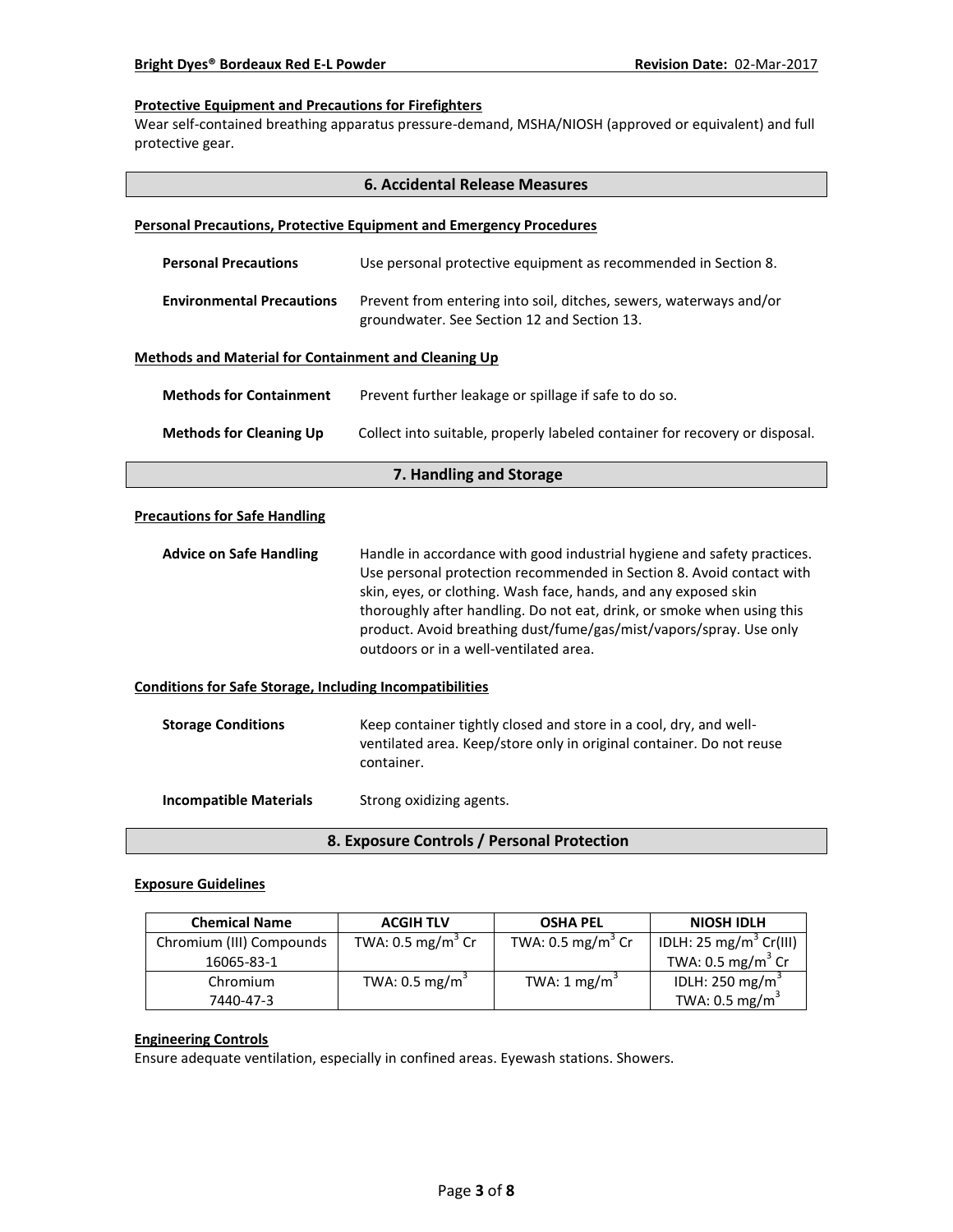#### **Protective Equipment and Precautions for Firefighters**

Wear self-contained breathing apparatus pressure-demand, MSHA/NIOSH (approved or equivalent) and full protective gear.

| <b>6. Accidental Release Measures</b>                                      |                                                                                                                                                                                                                                                                                                                                                                                                              |  |  |
|----------------------------------------------------------------------------|--------------------------------------------------------------------------------------------------------------------------------------------------------------------------------------------------------------------------------------------------------------------------------------------------------------------------------------------------------------------------------------------------------------|--|--|
| <b>Personal Precautions, Protective Equipment and Emergency Procedures</b> |                                                                                                                                                                                                                                                                                                                                                                                                              |  |  |
| <b>Personal Precautions</b>                                                | Use personal protective equipment as recommended in Section 8.                                                                                                                                                                                                                                                                                                                                               |  |  |
| <b>Environmental Precautions</b>                                           | Prevent from entering into soil, ditches, sewers, waterways and/or<br>groundwater. See Section 12 and Section 13.                                                                                                                                                                                                                                                                                            |  |  |
| <b>Methods and Material for Containment and Cleaning Up</b>                |                                                                                                                                                                                                                                                                                                                                                                                                              |  |  |
| <b>Methods for Containment</b>                                             | Prevent further leakage or spillage if safe to do so.                                                                                                                                                                                                                                                                                                                                                        |  |  |
| <b>Methods for Cleaning Up</b>                                             | Collect into suitable, properly labeled container for recovery or disposal.                                                                                                                                                                                                                                                                                                                                  |  |  |
|                                                                            | 7. Handling and Storage                                                                                                                                                                                                                                                                                                                                                                                      |  |  |
| <b>Precautions for Safe Handling</b>                                       |                                                                                                                                                                                                                                                                                                                                                                                                              |  |  |
| <b>Advice on Safe Handling</b>                                             | Handle in accordance with good industrial hygiene and safety practices.<br>Use personal protection recommended in Section 8. Avoid contact with<br>skin, eyes, or clothing. Wash face, hands, and any exposed skin<br>thoroughly after handling. Do not eat, drink, or smoke when using this<br>product. Avoid breathing dust/fume/gas/mist/vapors/spray. Use only<br>outdoors or in a well-ventilated area. |  |  |
| <b>Conditions for Safe Storage, Including Incompatibilities</b>            |                                                                                                                                                                                                                                                                                                                                                                                                              |  |  |
| <b>Storage Conditions</b>                                                  | Keep container tightly closed and store in a cool, dry, and well-<br>ventilated area. Keep/store only in original container. Do not reuse<br>container.                                                                                                                                                                                                                                                      |  |  |
| <b>Incompatible Materials</b>                                              | Strong oxidizing agents.                                                                                                                                                                                                                                                                                                                                                                                     |  |  |
| 8. Exposure Controls / Personal Protection                                 |                                                                                                                                                                                                                                                                                                                                                                                                              |  |  |

### **Exposure Guidelines**

| <b>Chemical Name</b>     | <b>ACGIH TLV</b>             | <b>OSHA PEL</b>              | NIOSH IDLH                         |
|--------------------------|------------------------------|------------------------------|------------------------------------|
| Chromium (III) Compounds | TWA: $0.5 \text{ mg/m}^3$ Cr | TWA: $0.5 \text{ mg/m}^3$ Cr | IDLH: 25 mg/m <sup>3</sup> Cr(III) |
| 16065-83-1               |                              |                              | TWA: $0.5 \text{ mg/m}^3$ Cr       |
| Chromium                 | TWA: 0.5 mg/m $3$            | TWA: 1 mg/m <sup>3</sup>     | IDLH: 250 mg/m <sup>3</sup>        |
| 7440-47-3                |                              |                              | TWA: $0.5 \text{ mg/m}^3$          |

#### **Engineering Controls**

Ensure adequate ventilation, especially in confined areas. Eyewash stations. Showers.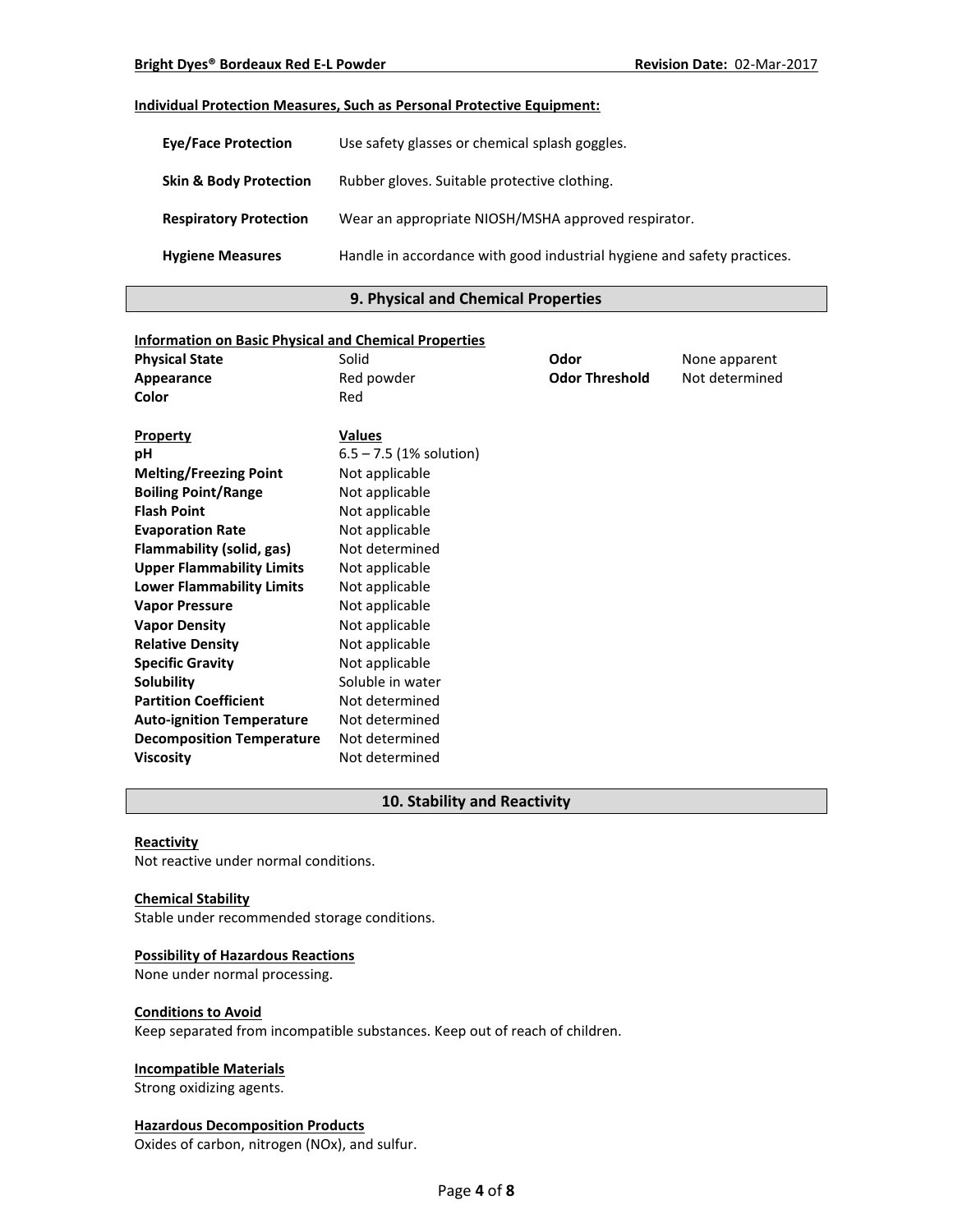#### **Individual Protection Measures, Such as Personal Protective Equipment:**

| <b>Eve/Face Protection</b>        | Use safety glasses or chemical splash goggles.                          |
|-----------------------------------|-------------------------------------------------------------------------|
| <b>Skin &amp; Body Protection</b> | Rubber gloves. Suitable protective clothing.                            |
| <b>Respiratory Protection</b>     | Wear an appropriate NIOSH/MSHA approved respirator.                     |
| <b>Hygiene Measures</b>           | Handle in accordance with good industrial hygiene and safety practices. |

### **9. Physical and Chemical Properties**

| <b>Information on Basic Physical and Chemical Properties</b> |                           |                       |                |
|--------------------------------------------------------------|---------------------------|-----------------------|----------------|
| <b>Physical State</b>                                        | Solid                     | Odor                  | None apparent  |
| Appearance                                                   | Red powder                | <b>Odor Threshold</b> | Not determined |
| Color                                                        | Red                       |                       |                |
|                                                              |                           |                       |                |
| <b>Property</b>                                              | <b>Values</b>             |                       |                |
| рH                                                           | $6.5 - 7.5$ (1% solution) |                       |                |
| <b>Melting/Freezing Point</b>                                | Not applicable            |                       |                |
| <b>Boiling Point/Range</b>                                   | Not applicable            |                       |                |
| <b>Flash Point</b>                                           | Not applicable            |                       |                |
| <b>Evaporation Rate</b>                                      | Not applicable            |                       |                |
| Flammability (solid, gas)                                    | Not determined            |                       |                |
| <b>Upper Flammability Limits</b>                             | Not applicable            |                       |                |
| <b>Lower Flammability Limits</b>                             | Not applicable            |                       |                |
| <b>Vapor Pressure</b>                                        | Not applicable            |                       |                |
| <b>Vapor Density</b>                                         | Not applicable            |                       |                |
| <b>Relative Density</b>                                      | Not applicable            |                       |                |
| <b>Specific Gravity</b>                                      | Not applicable            |                       |                |
| <b>Solubility</b>                                            | Soluble in water          |                       |                |
| <b>Partition Coefficient</b>                                 | Not determined            |                       |                |
| <b>Auto-ignition Temperature</b>                             | Not determined            |                       |                |
| <b>Decomposition Temperature</b>                             | Not determined            |                       |                |
| <b>Viscosity</b>                                             | Not determined            |                       |                |

#### **10. Stability and Reactivity**

#### **Reactivity**

Not reactive under normal conditions.

#### **Chemical Stability**

Stable under recommended storage conditions.

### **Possibility of Hazardous Reactions**

None under normal processing.

#### **Conditions to Avoid**

Keep separated from incompatible substances. Keep out of reach of children.

### **Incompatible Materials**

Strong oxidizing agents.

#### **Hazardous Decomposition Products**

Oxides of carbon, nitrogen (NOx), and sulfur.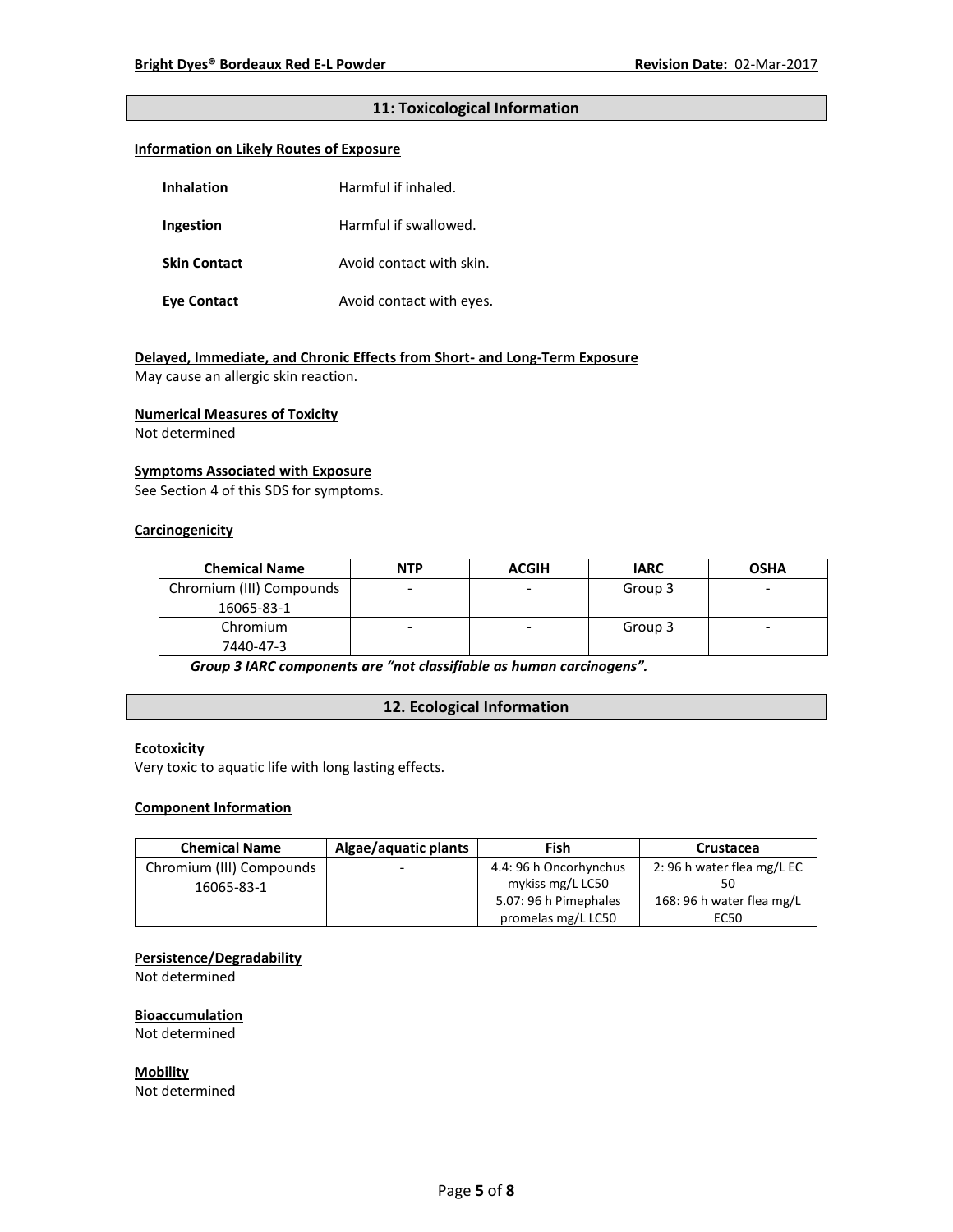### **11: Toxicological Information**

#### **Information on Likely Routes of Exposure**

| <b>Inhalation</b>   | Harmful if inhaled.      |
|---------------------|--------------------------|
| Ingestion           | Harmful if swallowed.    |
| <b>Skin Contact</b> | Avoid contact with skin. |
| Eye Contact         | Avoid contact with eyes. |

### **Delayed, Immediate, and Chronic Effects from Short- and Long-Term Exposure**

May cause an allergic skin reaction.

#### **Numerical Measures of Toxicity**

Not determined

#### **Symptoms Associated with Exposure**

See Section 4 of this SDS for symptoms.

### **Carcinogenicity**

| <b>Chemical Name</b>     | <b>NTP</b> | <b>ACGIH</b> | <b>IARC</b> | <b>OSHA</b>              |
|--------------------------|------------|--------------|-------------|--------------------------|
| Chromium (III) Compounds |            |              | Group 3     | -                        |
| 16065-83-1               |            |              |             |                          |
| Chromium                 |            | ۰            | Group 3     | $\overline{\phantom{0}}$ |
| 7440-47-3                |            |              |             |                          |

*Group 3 IARC components are "not classifiable as human carcinogens".*

### **12. Ecological Information**

#### **Ecotoxicity**

Very toxic to aquatic life with long lasting effects.

#### **Component Information**

| <b>Chemical Name</b>     | Algae/aquatic plants     | Fish                   | Crustacea                 |
|--------------------------|--------------------------|------------------------|---------------------------|
| Chromium (III) Compounds | $\overline{\phantom{0}}$ | 4.4: 96 h Oncorhynchus | 2:96 h water flea mg/L EC |
| 16065-83-1               |                          | mykiss mg/L LC50       |                           |
|                          |                          | 5.07: 96 h Pimephales  | 168: 96 h water flea mg/L |
|                          |                          | promelas mg/L LC50     | EC50                      |

### **Persistence/Degradability**

Not determined

#### **Bioaccumulation**

Not determined

**Mobility** Not determined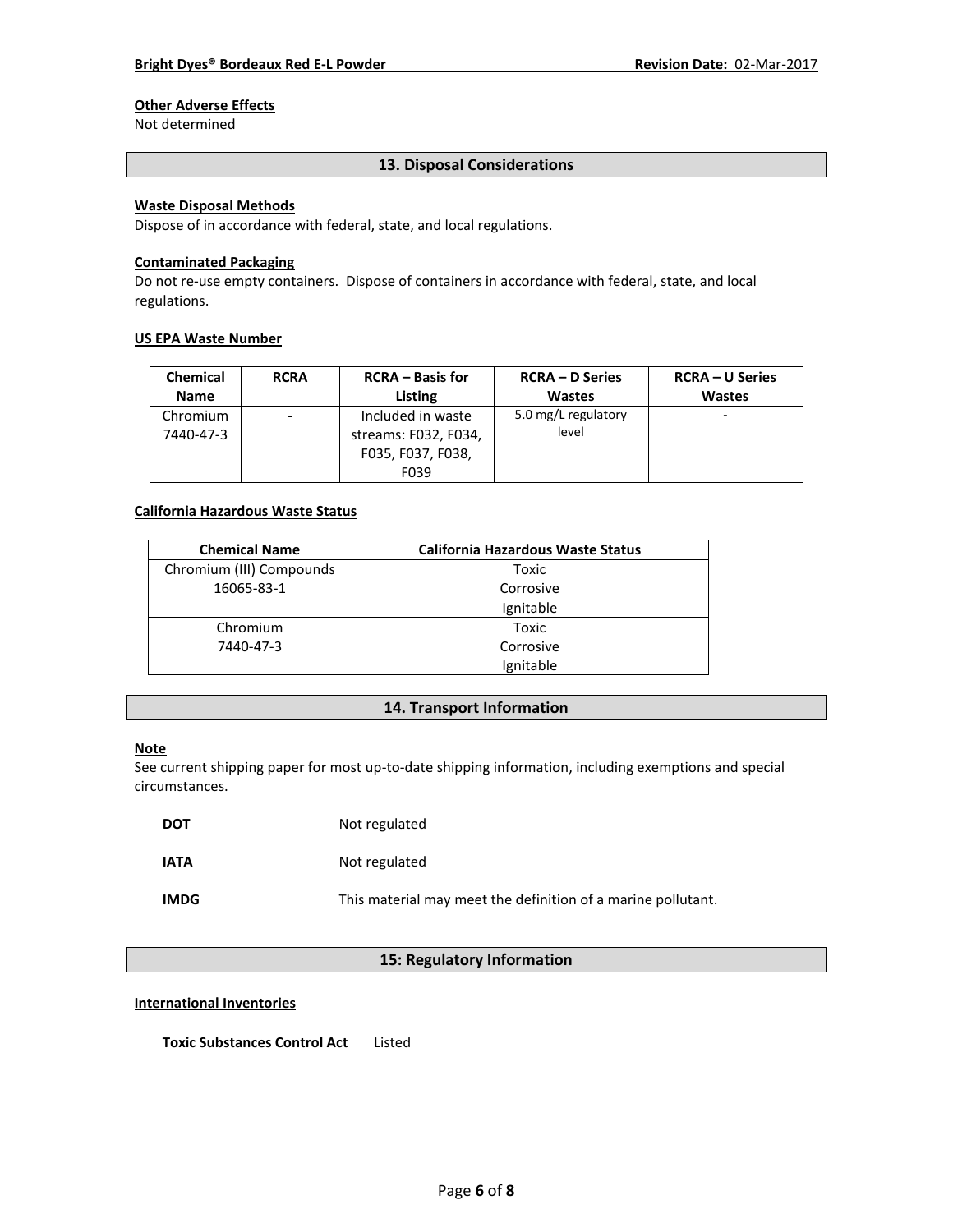# **Other Adverse Effects**

Not determined

#### **13. Disposal Considerations**

### **Waste Disposal Methods**

Dispose of in accordance with federal, state, and local regulations.

#### **Contaminated Packaging**

Do not re-use empty containers.Dispose of containers in accordance with federal, state, and local regulations.

#### **US EPA Waste Number**

| <b>Chemical</b>       | <b>RCRA</b> | <b>RCRA</b> – Basis for                                                | <b>RCRA – D Series</b>       | <b>RCRA – U Series</b> |
|-----------------------|-------------|------------------------------------------------------------------------|------------------------------|------------------------|
| <b>Name</b>           |             | Listing                                                                | <b>Wastes</b>                | <b>Wastes</b>          |
| Chromium<br>7440-47-3 | -           | Included in waste<br>streams: F032, F034,<br>F035, F037, F038,<br>F039 | 5.0 mg/L regulatory<br>level |                        |

### **California Hazardous Waste Status**

| <b>Chemical Name</b>     | <b>California Hazardous Waste Status</b> |
|--------------------------|------------------------------------------|
| Chromium (III) Compounds | Toxic                                    |
| 16065-83-1               | Corrosive                                |
|                          | Ignitable                                |
| Chromium                 | Toxic                                    |
| 7440-47-3                | Corrosive                                |
|                          | Ignitable                                |

#### **14. Transport Information**

#### **Note**

See current shipping paper for most up-to-date shipping information, including exemptions and special circumstances.

| <b>DOT</b>  | Not regulated                                                |
|-------------|--------------------------------------------------------------|
| <b>IATA</b> | Not regulated                                                |
| <b>IMDG</b> | This material may meet the definition of a marine pollutant. |

## **15: Regulatory Information**

#### **International Inventories**

**Toxic Substances Control Act** Listed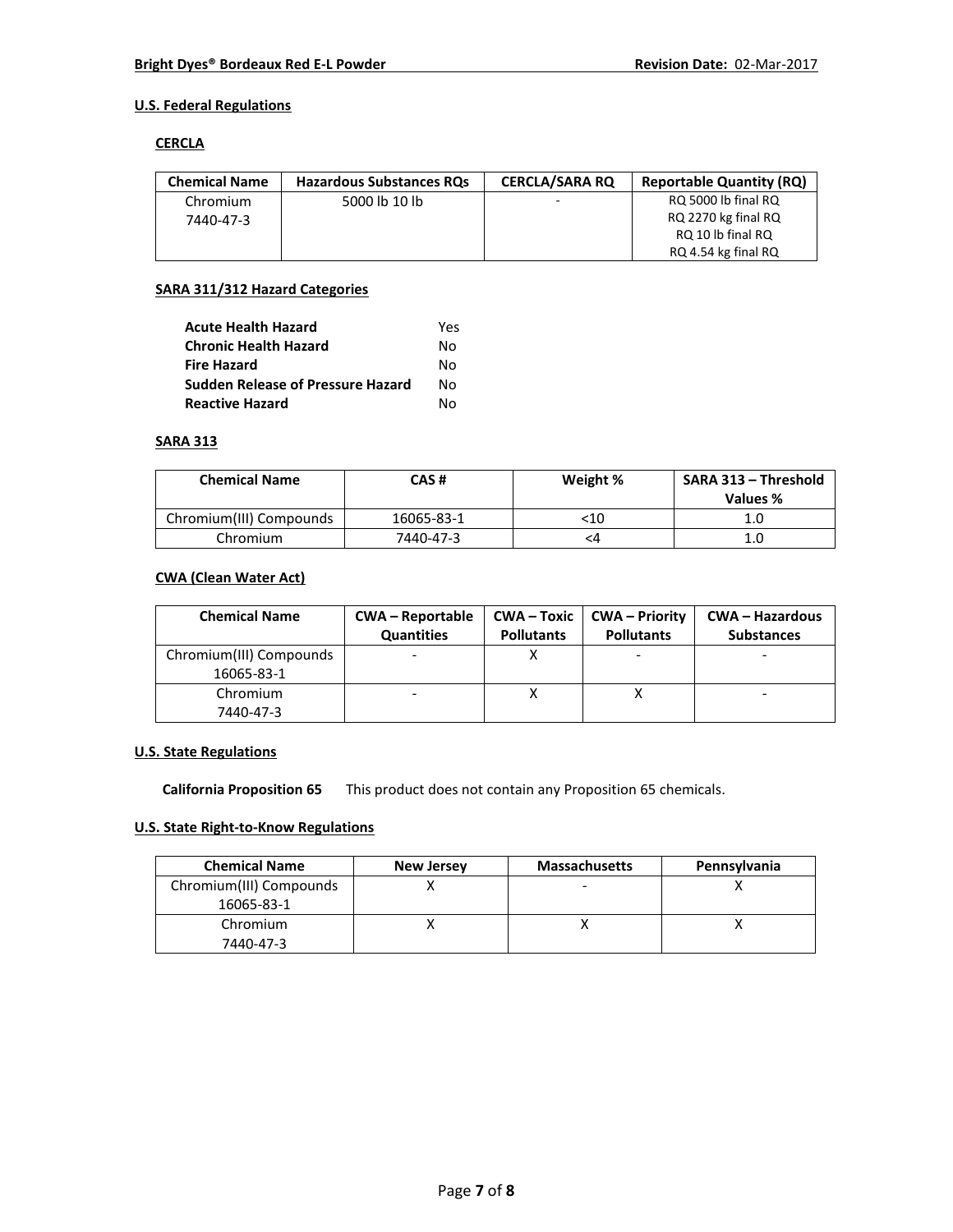### **U.S. Federal Regulations**

#### **CERCLA**

| <b>Chemical Name</b> | <b>Hazardous Substances RQs</b> | <b>CERCLA/SARA RO</b> | <b>Reportable Quantity (RQ)</b> |
|----------------------|---------------------------------|-----------------------|---------------------------------|
| Chromium             | 5000 lb 10 lb                   |                       | RQ 5000 lb final RQ             |
| 7440-47-3            |                                 |                       | RQ 2270 kg final RQ             |
|                      |                                 |                       | RQ 10 lb final RQ               |
|                      |                                 |                       | RQ 4.54 kg final RQ             |

#### **SARA 311/312 Hazard Categories**

| <b>Acute Health Hazard</b>               | Yes |
|------------------------------------------|-----|
| <b>Chronic Health Hazard</b>             | N٥  |
| <b>Fire Hazard</b>                       | N٥  |
| <b>Sudden Release of Pressure Hazard</b> | N٥  |
| <b>Reactive Hazard</b>                   | N٥  |

#### **SARA 313**

| <b>Chemical Name</b>    | CAS #      | Weight % | SARA 313 - Threshold<br>Values % |
|-------------------------|------------|----------|----------------------------------|
| Chromium(III) Compounds | 16065-83-1 | <10      |                                  |
| Chromium                | 7440-47-3  | <4       | 1.0                              |

### **CWA (Clean Water Act)**

| <b>Chemical Name</b>                  | <b>CWA – Reportable</b><br><b>Quantities</b> | $CWA - Toxic$<br><b>Pollutants</b> | <b>CWA</b> – Priority<br><b>Pollutants</b> | <b>CWA - Hazardous</b><br><b>Substances</b> |
|---------------------------------------|----------------------------------------------|------------------------------------|--------------------------------------------|---------------------------------------------|
| Chromium(III) Compounds<br>16065-83-1 |                                              |                                    |                                            |                                             |
| Chromium<br>7440-47-3                 |                                              |                                    |                                            |                                             |

### **U.S. State Regulations**

**California Proposition 65** This product does not contain any Proposition 65 chemicals.

# **U.S. State Right-to-Know Regulations**

| <b>Chemical Name</b>    | <b>New Jersey</b> | <b>Massachusetts</b>     | Pennsylvania |
|-------------------------|-------------------|--------------------------|--------------|
| Chromium(III) Compounds |                   | $\overline{\phantom{0}}$ |              |
| 16065-83-1              |                   |                          |              |
| Chromium                |                   |                          |              |
| 7440-47-3               |                   |                          |              |